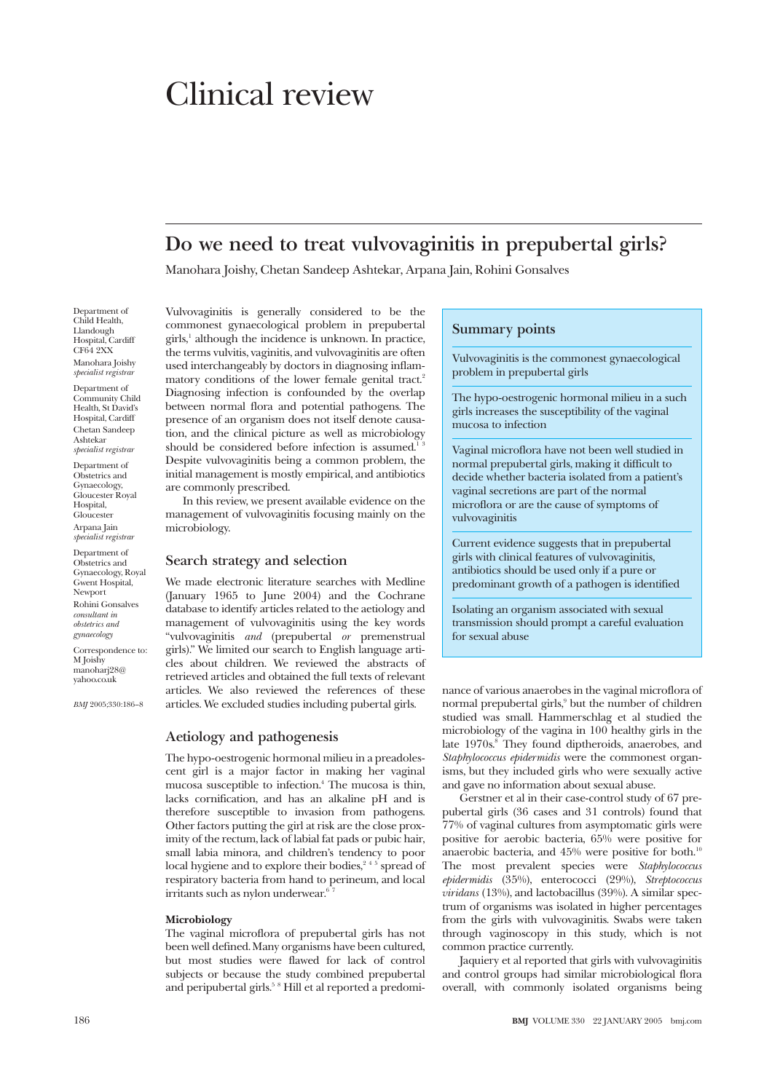# Clinical review

# **Do we need to treat vulvovaginitis in prepubertal girls?**

Manohara Joishy, Chetan Sandeep Ashtekar, Arpana Jain, Rohini Gonsalves

Department of Child Health, Llandough Hospital, Cardiff CF64 2XX Manohara Joishy *specialist registrar*

Department of Community Child Health, St David's Hospital, Cardiff Chetan Sandeep Ashtekar *specialist registrar*

Department of Obstetrics and Gynaecology, Gloucester Royal Hospital, Gloucester Arpana Jain *specialist registrar*

Department of Obstetrics and Gynaecology, Royal Gwent Hospital, Newport Rohini Gonsalves *consultant in obstetrics and gynaecology*

Correspondence to: M Joishy manoharj28@ yahoo.co.uk

*BMJ* 2005;330:186–8

Vulvovaginitis is generally considered to be the commonest gynaecological problem in prepubertal  $qirls<sub>i</sub>$  although the incidence is unknown. In practice, the terms vulvitis, vaginitis, and vulvovaginitis are often used interchangeably by doctors in diagnosing inflammatory conditions of the lower female genital tract.<sup>2</sup> Diagnosing infection is confounded by the overlap between normal flora and potential pathogens. The presence of an organism does not itself denote causation, and the clinical picture as well as microbiology should be considered before infection is assumed.<sup>1</sup> Despite vulvovaginitis being a common problem, the initial management is mostly empirical, and antibiotics are commonly prescribed.

In this review, we present available evidence on the management of vulvovaginitis focusing mainly on the microbiology.

### **Search strategy and selection**

We made electronic literature searches with Medline (January 1965 to June 2004) and the Cochrane database to identify articles related to the aetiology and management of vulvovaginitis using the key words "vulvovaginitis *and* (prepubertal *or* premenstrual girls)." We limited our search to English language articles about children. We reviewed the abstracts of retrieved articles and obtained the full texts of relevant articles. We also reviewed the references of these articles. We excluded studies including pubertal girls.

## **Aetiology and pathogenesis**

The hypo-oestrogenic hormonal milieu in a preadolescent girl is a major factor in making her vaginal mucosa susceptible to infection.4 The mucosa is thin, lacks cornification, and has an alkaline pH and is therefore susceptible to invasion from pathogens. Other factors putting the girl at risk are the close proximity of the rectum, lack of labial fat pads or pubic hair, small labia minora, and children's tendency to poor local hygiene and to explore their bodies,<sup>245</sup> spread of respiratory bacteria from hand to perineum, and local irritants such as nylon underwear.<sup>6</sup>

#### **Microbiology**

The vaginal microflora of prepubertal girls has not been well defined. Many organisms have been cultured, but most studies were flawed for lack of control subjects or because the study combined prepubertal and peripubertal girls.<sup>5 8</sup> Hill et al reported a predomi-

# **Summary points**

Vulvovaginitis is the commonest gynaecological problem in prepubertal girls

The hypo-oestrogenic hormonal milieu in a such girls increases the susceptibility of the vaginal mucosa to infection

Vaginal microflora have not been well studied in normal prepubertal girls, making it difficult to decide whether bacteria isolated from a patient's vaginal secretions are part of the normal microflora or are the cause of symptoms of vulvovaginitis

Current evidence suggests that in prepubertal girls with clinical features of vulvovaginitis, antibiotics should be used only if a pure or predominant growth of a pathogen is identified

Isolating an organism associated with sexual transmission should prompt a careful evaluation for sexual abuse

nance of various anaerobes in the vaginal microflora of normal prepubertal girls,<sup>9</sup> but the number of children studied was small. Hammerschlag et al studied the microbiology of the vagina in 100 healthy girls in the late 1970s.<sup>8</sup> They found diptheroids, anaerobes, and *Staphylococcus epidermidis* were the commonest organisms, but they included girls who were sexually active and gave no information about sexual abuse.

Gerstner et al in their case-control study of 67 prepubertal girls (36 cases and 31 controls) found that 77% of vaginal cultures from asymptomatic girls were positive for aerobic bacteria, 65% were positive for anaerobic bacteria, and  $45\%$  were positive for both.<sup>10</sup> The most prevalent species were *Staphylococcus epidermidis* (35%), enterococci (29%), *Streptococcus viridans* (13%), and lactobacillus (39%). A similar spectrum of organisms was isolated in higher percentages from the girls with vulvovaginitis. Swabs were taken through vaginoscopy in this study, which is not common practice currently.

Jaquiery et al reported that girls with vulvovaginitis and control groups had similar microbiological flora overall, with commonly isolated organisms being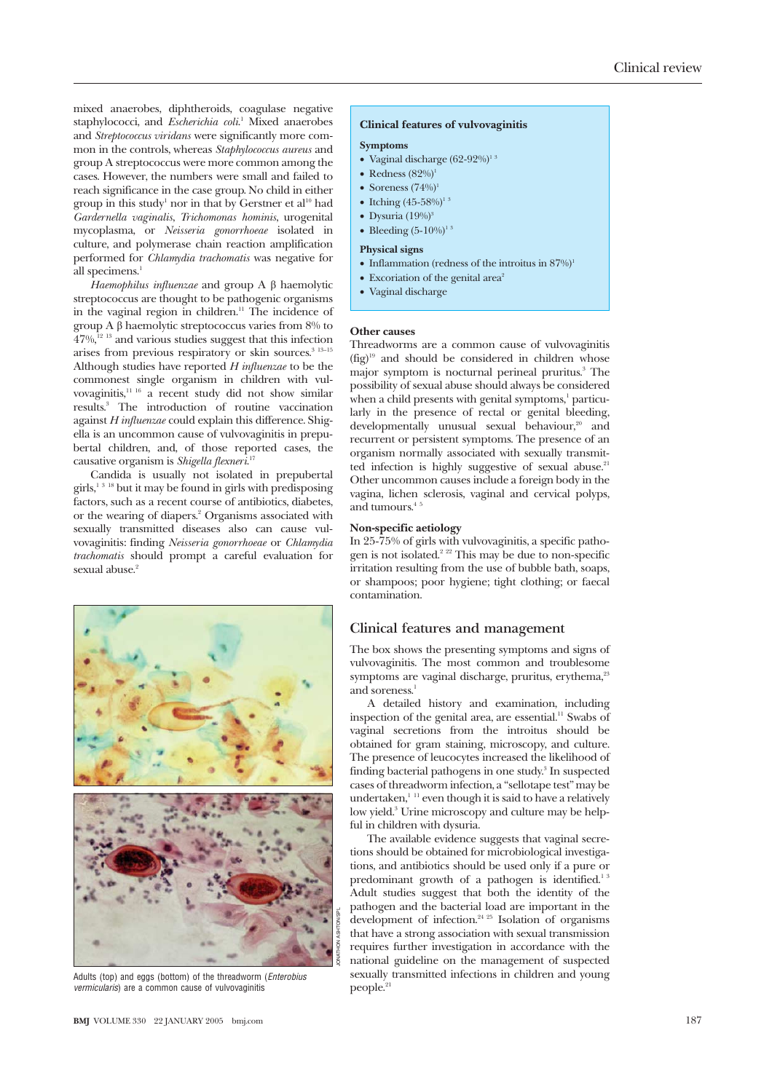mixed anaerobes, diphtheroids, coagulase negative staphylococci, and *Escherichia coli*. <sup>1</sup> Mixed anaerobes and *Streptococcus viridans* were significantly more common in the controls, whereas *Staphylococcus aureus* and group A streptococcus were more common among the cases. However, the numbers were small and failed to reach significance in the case group. No child in either group in this study<sup>1</sup> nor in that by Gerstner et al<sup>10</sup> had *Gardernella vaginalis*, *Trichomonas hominis*, urogenital mycoplasma, or *Neisseria gonorrhoeae* isolated in culture, and polymerase chain reaction amplification performed for *Chlamydia trachomatis* was negative for all specimens.<sup>1</sup>

*Haemophilus influenzae* and group Α β haemolytic streptococcus are thought to be pathogenic organisms in the vaginal region in children.<sup>11</sup> The incidence of group A  $\beta$  haemolytic streptococcus varies from 8% to  $47\%$ ,<sup>12 13</sup> and various studies suggest that this infection arises from previous respiratory or skin sources.<sup>3</sup> 13-15 Although studies have reported *H influenzae* to be the commonest single organism in children with vulvovaginitis, $\frac{11}{16}$  a recent study did not show similar results.3 The introduction of routine vaccination against *H influenzae* could explain this difference. Shigella is an uncommon cause of vulvovaginitis in prepubertal children, and, of those reported cases, the causative organism is *Shigella flexneri*. 17

Candida is usually not isolated in prepubertal girls, $1318$  but it may be found in girls with predisposing factors, such as a recent course of antibiotics, diabetes, or the wearing of diapers.2 Organisms associated with sexually transmitted diseases also can cause vulvovaginitis: finding *Neisseria gonorrhoeae* or *Chlamydia trachomatis* should prompt a careful evaluation for sexual abuse.<sup>2</sup>



Adults (top) and eggs (bottom) of the threadworm (*Enterobius* vermicularis) are a common cause of vulvovaginitis

#### **Clinical features of vulvovaginitis**

#### **Symptoms**

- Vaginal discharge  $(62-92\%)$ <sup>13</sup>
- Redness  $(82\%)^1$
- Soreness  $(74\%)^1$
- Itching  $(45-58\%)^{13}$
- Dysuria  $(19\%)^3$
- Bleeding  $(5-10\%)^{1/3}$

#### **Physical signs**

- Inflammation (redness of the introitus in  $87\%$ )<sup>1</sup>
- Excoriation of the genital area<sup>2</sup>
- Vaginal discharge

#### **Other causes**

Threadworms are a common cause of vulvovaginitis  $(fig)^{19}$  and should be considered in children whose major symptom is nocturnal perineal pruritus.<sup>3</sup> The possibility of sexual abuse should always be considered when a child presents with genital symptoms, $<sup>1</sup>$  particu-</sup> larly in the presence of rectal or genital bleeding, developmentally unusual sexual behaviour,<sup>20</sup> and recurrent or persistent symptoms. The presence of an organism normally associated with sexually transmitted infection is highly suggestive of sexual abuse.<sup>2</sup> Other uncommon causes include a foreign body in the vagina, lichen sclerosis, vaginal and cervical polyps, and tumours. $4\frac{5}{7}$ 

#### **Non-specific aetiology**

In 25-75% of girls with vulvovaginitis, a specific pathogen is not isolated.2 22 This may be due to non-specific irritation resulting from the use of bubble bath, soaps, or shampoos; poor hygiene; tight clothing; or faecal contamination.

#### **Clinical features and management**

The box shows the presenting symptoms and signs of vulvovaginitis. The most common and troublesome symptoms are vaginal discharge, pruritus, erythema,<sup>23</sup> and soreness.<sup>1</sup>

A detailed history and examination, including inspection of the genital area, are essential.<sup>11</sup> Swabs of vaginal secretions from the introitus should be obtained for gram staining, microscopy, and culture. The presence of leucocytes increased the likelihood of finding bacterial pathogens in one study.<sup>3</sup> In suspected cases of threadworm infection, a "sellotape test" may be undertaken, $111$  even though it is said to have a relatively low yield.<sup>3</sup> Urine microscopy and culture may be helpful in children with dysuria.

The available evidence suggests that vaginal secretions should be obtained for microbiological investigations, and antibiotics should be used only if a pure or predominant growth of a pathogen is identified.<sup>13</sup> Adult studies suggest that both the identity of the pathogen and the bacterial load are important in the development of infection.<sup>24 25</sup> Isolation of organisms that have a strong association with sexual transmission requires further investigation in accordance with the national guideline on the management of suspected sexually transmitted infections in children and young people.<sup>21</sup>